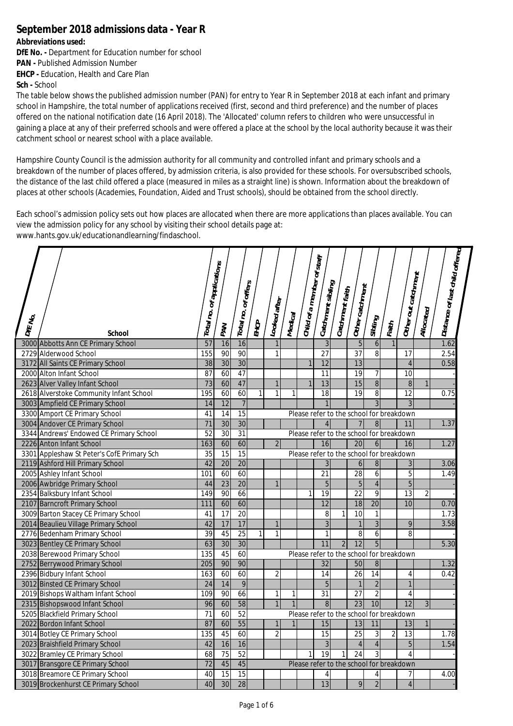## **September 2018 admissions data - Year R**

## **Abbreviations used:**

**DfE No. -** Department for Education number for school **PAN -** Published Admission Number **EHCP -** Education, Health and Care Plan

**Sch -** School

The table below shows the published admission number (PAN) for entry to Year R in September 2018 at each infant and primary school in Hampshire, the total number of applications received (first, second and third preference) and the number of places offered on the national notification date (16 April 2018). The 'Allocated' column refers to children who were unsuccessful in gaining a place at any of their preferred schools and were offered a place at the school by the local authority because it was their catchment school or nearest school with a place available.

Hampshire County Council is the admission authority for all community and controlled infant and primary schools and a breakdown of the number of places offered, by admission criteria, is also provided for these schools. For oversubscribed schools, the distance of the last child offered a place (measured in miles as a straight line) is shown. Information about the breakdown of places at other schools (Academies, Foundation, Aided and Trust schools), should be obtained from the school directly.

Each school's admission policy sets out how places are allocated when there are more applications than places available. You can view the admission policy for any school by visiting their school details page at: [www.hants.gov.uk/educationandlearning/findaschool.](http://www.hants.gov.uk/educationandlearning/findaschool.)

| <b>DIE No.</b> | <b>School</b>                              | Total no. of applications | PAN             | of offers<br>Total no. | EHCP         | Looked after   | Medical        | Child of a member of staff               | $\ $ Catchment sibling | $\vert$ Catchment faith | $ _{\rm Other\,catchm_{\rm e\eta\eta}}$ | Sibling         | Faith          | Other out catchment | Allocated      | Distance of last child offered |  |
|----------------|--------------------------------------------|---------------------------|-----------------|------------------------|--------------|----------------|----------------|------------------------------------------|------------------------|-------------------------|-----------------------------------------|-----------------|----------------|---------------------|----------------|--------------------------------|--|
|                | 3000 Abbotts Ann CE Primary School         | 57                        | 16              | 16                     |              |                |                |                                          | $\overline{3}$         |                         | 5                                       | 6               |                |                     |                | 1.62                           |  |
|                | 2729 Alderwood School                      | 155                       | 90              | 90                     |              | $\mathbf{1}$   |                |                                          | 27                     |                         | 37                                      | $\overline{8}$  |                | 17                  |                | 2.54                           |  |
|                | 3172 All Saints CE Primary School          | 38                        | 30              | 30                     |              |                |                | $\mathbf{1}$                             | $\overline{12}$        |                         | 13                                      |                 |                | $\overline{4}$      |                | 0.58                           |  |
|                | 2000 Alton Infant School                   | 87                        | 60              | 47                     |              |                |                |                                          | 11                     |                         | 19                                      | 7               |                | 10                  |                |                                |  |
|                | 2623 Alver Valley Infant School            | 73                        | 60              | 47                     |              | $\mathbf{1}$   |                | $\mathbf{1}$                             | 13                     |                         | 15                                      | $\bf 8$         |                | $\, 8$              | 1              |                                |  |
|                | 2618 Alverstoke Community Infant School    | 195                       | 60              | 60                     | $\mathbf{1}$ | $\mathbf{1}$   | 1              |                                          | 18                     |                         | 19                                      | $\overline{8}$  |                | 12                  |                | 0.75                           |  |
|                | 3003 Ampfield CE Primary School            | $\overline{14}$           | 12              | $\overline{7}$         |              |                |                |                                          |                        |                         |                                         | $\overline{3}$  |                | 3                   |                |                                |  |
|                | 3300 Amport CE Primary School              | 41                        | 14              | 15                     |              |                |                | Please refer to the school for breakdown |                        |                         |                                         |                 |                |                     |                |                                |  |
|                | 3004 Andover CE Primary School             | $\overline{71}$           | $\overline{30}$ | 30                     |              |                |                |                                          | $\overline{4}$         |                         | 7 <sup>1</sup>                          | $\bf{8}$        |                | 11                  |                | 1.37                           |  |
|                | 3344 Andrews' Endowed CE Primary School    | 52                        | 30              | 31                     |              |                |                | Please refer to the school for breakdown |                        |                         |                                         |                 |                |                     |                |                                |  |
|                | 2226 Anton Infant School                   | 163                       | 60              | 60                     |              | $\overline{2}$ |                |                                          | 16                     |                         | 20                                      | 6 <sup>1</sup>  |                | 16                  |                | 1.27                           |  |
|                | 3301 Appleshaw St Peter's CofE Primary Sch | $\overline{35}$           | 15              | 15                     |              |                |                | Please refer to the school for breakdown |                        |                         |                                         |                 |                |                     |                |                                |  |
|                | 2119 Ashford Hill Primary School           | 42                        | $\overline{20}$ | $\overline{20}$        |              |                |                |                                          | $\overline{3}$         |                         | 6                                       | $\bf 8$         |                | 3                   |                | 3.06                           |  |
|                | 2005 Ashley Infant School                  | 101                       | 60              | 60                     |              |                |                |                                          | 21                     |                         | 28                                      | 6               |                | 5                   |                | 1.49                           |  |
|                | 2006 Awbridge Primary School               | 44                        | 23              | 20                     |              |                |                |                                          | 5                      |                         | $5\phantom{.}$                          | $\overline{4}$  |                | $\overline{5}$      |                |                                |  |
|                | 2354 Balksbury Infant School               | 149                       | 90              | 66                     |              |                |                | 1                                        | 19                     |                         | 22                                      | 9               |                | 13                  | $\overline{2}$ |                                |  |
|                | 2107 Barncroft Primary School              | 111                       | 60              | 60                     |              |                |                |                                          | 12                     |                         | 18                                      | $\overline{20}$ |                | 10                  |                | 0.70                           |  |
|                | 3009 Barton Stacey CE Primary School       | 41                        | $\overline{17}$ | 20                     |              |                |                |                                          | 8                      | 1                       | 10                                      | 1               |                |                     |                | 1.73                           |  |
|                | 2014 Beaulieu Village Primary School       | 42                        | 17              | 17                     |              | $\mathbf{1}$   |                |                                          | 3                      |                         | $\mathbf{1}$                            | $\overline{3}$  |                | 9                   |                | 3.58                           |  |
|                | 2776 Bedenham Primary School               | $\overline{39}$           | 45              | $\overline{25}$        | $\mathbf{1}$ | $\mathbf{1}$   |                |                                          | 1                      |                         | 8                                       | 6               |                | 8                   |                |                                |  |
|                | 3023 Bentley CE Primary School             | 63                        | 30              | 30                     |              |                |                |                                          | 11                     | $\overline{2}$          | $\overline{12}$                         | $\overline{5}$  |                |                     |                | 5.30                           |  |
|                | 2038 Berewood Primary School               | 135                       | 45              | 60                     |              |                |                | Please refer to the school for breakdown |                        |                         |                                         |                 |                |                     |                |                                |  |
|                | 2752 Berrywood Primary School              | 205                       | 90              | 90                     |              |                |                |                                          | $\overline{32}$        |                         | 50                                      | $\, 8$          |                |                     |                | 1.32                           |  |
|                | 2396 Bidbury Infant School                 | 163                       | 60              | 60                     |              | $\overline{2}$ |                |                                          | 14                     |                         | 26                                      | $\overline{14}$ |                | 4                   |                | 0.42                           |  |
|                | 3012 Binsted CE Primary School             | 24                        | 14              | 9                      |              |                |                |                                          | 5                      |                         | $\mathbf{1}$                            | $\overline{2}$  |                | $\overline{1}$      |                |                                |  |
|                | 2019 Bishops Waltham Infant School         | 109                       | 90              | 66                     |              | $\mathbf{1}$   | 1              |                                          | 31                     |                         | 27                                      | $\overline{2}$  |                | $\overline{4}$      |                |                                |  |
|                | 2315 Bishopswood Infant School             | 96                        | 60              | 58                     |              |                | $\overline{1}$ |                                          | 8                      |                         | $\overline{23}$                         | 10              |                | $\overline{12}$     | $\overline{3}$ |                                |  |
|                | 5205 Blackfield Primary School             | 71                        | 60              | 52                     |              |                |                | Please refer to the school for breakdown |                        |                         |                                         |                 |                |                     |                |                                |  |
|                | 2022 Bordon Infant School                  | 87                        | 60              | 55                     |              | $\mathbf{1}$   | $\mathbf{1}$   |                                          | 15                     |                         | 13                                      | 11              |                | 13                  | $\mathbf{1}$   |                                |  |
|                | 3014 Botley CE Primary School              | 135                       | 45              | 60                     |              | $\overline{2}$ |                |                                          | $\overline{15}$        |                         | $\overline{25}$                         | 3               | $\overline{2}$ | $\overline{13}$     |                | 1.78                           |  |
|                | 2023 Braishfield Primary School            | 42                        | 16              | 16                     |              |                |                |                                          | $\overline{3}$         |                         | $\overline{4}$                          | $\overline{4}$  |                | 5                   |                | 1.54                           |  |
|                | 3022 Bramley CE Primary School             | 68                        | 75              | $\overline{52}$        |              |                |                | 1                                        | 19                     | $\mathbf{1}$            | 24                                      | $\overline{3}$  |                | $\overline{4}$      |                |                                |  |
|                | 3017 Bransgore CE Primary School           | $\overline{72}$           | 45              | 45                     |              |                |                | Please refer to the school for breakdown |                        |                         |                                         |                 |                |                     |                |                                |  |
|                | 3018 Breamore CE Primary School            | 40                        | 15              | 15                     |              |                |                |                                          | $\overline{4}$         |                         |                                         | 4               |                | 7                   |                | 4.00                           |  |
|                | 3019 Brockenhurst CE Primary School        | 40                        | 30              | 28                     |              |                |                |                                          | 13                     |                         | 9                                       | $\overline{2}$  |                | $\overline{4}$      |                |                                |  |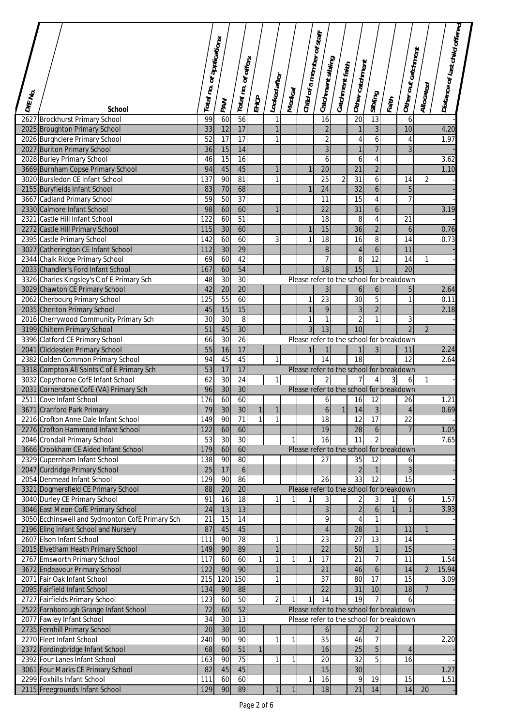| <b>DIE NO.</b> |                                                                   | Total no.       | . of applications | Total no. of offers |              | Looked after  | Medical      | Child of a member of staff. | Catchment sibling   | $\left _{\text{Cauchment\,fairh}}\right $ | $ $ Other catchment                           |                  |                | Other out catchment  | Allocated      | Distance of last child offered |  |
|----------------|-------------------------------------------------------------------|-----------------|-------------------|---------------------|--------------|---------------|--------------|-----------------------------|---------------------|-------------------------------------------|-----------------------------------------------|------------------|----------------|----------------------|----------------|--------------------------------|--|
|                | <b>School</b>                                                     |                 | <b>PAN</b>        |                     | EHCP         |               |              |                             |                     |                                           |                                               | Sibling          | Faith          |                      |                |                                |  |
| 2627           | <b>Brockhurst Primary School</b>                                  | 99              | 60                | 56                  |              |               |              |                             | 16                  |                                           | $\overline{20}$                               | 13               |                | 6                    |                |                                |  |
|                | 2025 Broughton Primary School                                     | 33              | 12                | 17                  |              | $\mathbf{1}$  |              |                             | $\overline{2}$      |                                           | $\mathbf{1}$                                  | $\overline{3}$   |                | 10                   |                | 4.20                           |  |
|                | 2026 Burghclere Primary School                                    | 52              | $\overline{17}$   | $\overline{17}$     |              | 1             |              |                             | $\sqrt{2}$          |                                           | 4                                             | $\boldsymbol{6}$ |                | 4                    |                | 1.97                           |  |
|                | 2027 Buriton Primary School                                       | 36              | 15                | 14                  |              |               |              |                             | $\overline{3}$      |                                           | $\mathbf{1}$                                  | $\overline{7}$   |                | $\overline{3}$       |                |                                |  |
|                | 2028 Burley Primary School                                        | 46              | $\overline{15}$   | $\overline{16}$     |              |               |              |                             | 6                   |                                           | 6                                             | 4                |                |                      |                | 3.62                           |  |
|                | 3669 Burnham Copse Primary School                                 | 94              | 45                | 45                  |              |               |              | $\mathbf{1}$                | $\overline{20}$     |                                           | 21                                            | $\overline{2}$   |                |                      |                | 1.10                           |  |
|                | 3020 Bursledon CE Infant School                                   | 137             | 90                | 81                  |              | 1             |              |                             | $\overline{25}$     | $\overline{2}$                            | $\overline{31}$                               | 6                |                | 14                   | 2              |                                |  |
|                | 2155 Buryfields Infant School                                     | 83              | 70                | 68                  |              |               |              |                             | 24                  |                                           | $\overline{32}$                               | 6                |                | 5                    |                |                                |  |
|                | 3667 Cadland Primary School                                       | 59              | $\overline{50}$   | 37                  |              |               |              |                             | 11                  |                                           | $\overline{15}$                               | $\overline{4}$   |                | $\overline{7}$       |                |                                |  |
|                | 2330 Calmore Infant School                                        | 98              | 60                | 60                  |              | 1             |              |                             | 22                  |                                           | 31                                            | 6                |                |                      |                | 3.19                           |  |
|                | 2321 Castle Hill Infant School                                    | 122             | 60                | 51                  |              |               |              |                             | 18                  |                                           | 8                                             | 4                |                | 21                   |                |                                |  |
|                | 2272 Castle Hill Primary School                                   | 115             | 30                | 60                  |              |               |              |                             | 15                  |                                           | $\overline{36}$                               | $\overline{2}$   |                | 6                    |                | 0.76                           |  |
|                | 2395 Castle Primary School                                        | 142             | 60                | 60                  |              | 3             |              | 1                           | 18                  |                                           | 16                                            | $\overline{8}$   |                | 14                   |                | 0.73                           |  |
|                | 3027 Catherington CE Infant School                                | 112             | 30                | 29                  |              |               |              |                             | $\, 8$              |                                           | $\overline{4}$                                | 6                |                | 11                   |                |                                |  |
|                | 2344 Chalk Ridge Primary School                                   | 69              | 60                | 42                  |              |               |              |                             | 7                   |                                           | 8                                             | 12               |                | 14                   | $\mathbf{1}$   |                                |  |
|                | 2033 Chandler's Ford Infant School                                | 167             | 60                | 54                  |              |               |              |                             | $\overline{18}$     |                                           | 15                                            |                  |                | $\overline{20}$      |                |                                |  |
|                | 3326 Charles Kingsley's C of E Primary Sch                        | 48              | 30                | 30                  |              |               |              |                             |                     |                                           | Please refer to the school for breakdown      |                  |                |                      |                |                                |  |
|                | 3029 Chawton CE Primary School                                    | 42              | 20                | 20                  |              |               |              |                             | $\overline{3}$      |                                           | 6                                             | 6                |                | 5                    |                | 2.64                           |  |
|                | 2062 Cherbourg Primary School                                     | 125             | $\overline{55}$   | 60                  |              |               |              | 1                           | 23                  |                                           | 30                                            | $\overline{5}$   |                | 1                    |                | 0.11                           |  |
|                | 2035 Cheriton Primary School                                      | 45              | 15                | 15                  |              |               |              | $\mathbf{1}$                | 9                   |                                           | $\mathfrak{Z}$                                | $\overline{2}$   |                |                      |                | 2.18                           |  |
|                | 2016 Cherrywood Community Primary Sch                             | 30              | $\overline{30}$   | 8                   |              |               |              | $\mathbf{1}$                | 1                   |                                           | $\overline{2}$                                | 1                |                | 3                    |                |                                |  |
|                | 3199 Chiltern Primary School                                      | 51              | 45                | 30                  |              |               |              | 3                           | 13                  |                                           | 10                                            |                  |                | $\overline{2}$       | $\overline{2}$ |                                |  |
|                | 3396 Clatford CE Primary School                                   | 66              | 30                | 26                  |              |               |              |                             |                     |                                           | Please refer to the school for breakdown      |                  |                |                      |                |                                |  |
|                | 2041 Cliddesden Primary School                                    | 55              | 16                | 17                  |              |               |              | $\mathbf{1}$                |                     |                                           | $\mathbf{1}$                                  | $\mathfrak{Z}$   |                | 11                   |                | 2.24                           |  |
|                | 2382 Colden Common Primary School                                 | 94              | 45                | 45                  |              | 1             |              |                             | 14                  |                                           | $\overline{18}$                               |                  |                | $\overline{12}$      |                | 2.64                           |  |
|                | 3318 Compton All Saints C of E Primary Sch                        | 53              | 17                | 17                  |              |               |              |                             |                     |                                           | Please refer to the school for breakdown      |                  |                |                      |                |                                |  |
|                | 3032 Copythorne CofE Infant School                                | 62<br>96        | 30<br>30          | 24<br>30            |              | 11            |              |                             | $\overline{2}$      |                                           | 7<br>Please refer to the school for breakdown | 4                | $\overline{3}$ | 6                    | $\mathbf{1}$   |                                |  |
|                | 2031 Cornerstone CofE (VA) Primary Sch<br>2511 Cove Infant School | 176             | 60                | 60                  |              |               |              |                             |                     |                                           | 16                                            | 12               |                | 26                   |                | 1.21                           |  |
|                | 3671 Cranford Park Primary                                        | 79              | 30                | 30                  |              |               |              |                             | 6<br>$\overline{6}$ |                                           | 14                                            | $\overline{3}$   |                |                      |                | 0.69                           |  |
|                | 2216 Crofton Anne Dale Infant School                              | 149             | 90                | $\overline{71}$     | 1            |               |              |                             | 18                  |                                           | 12                                            | $\overline{17}$  |                | 4<br>$\overline{22}$ |                |                                |  |
|                | 2276 Crofton Hammond Infant School                                | 122             | 60                | 60                  |              |               |              |                             | 19                  |                                           | $\overline{28}$                               | $\boldsymbol{6}$ |                | $\overline{7}$       |                | 1.05                           |  |
|                | 2046 Crondall Primary School                                      | 53              | $\overline{30}$   | $\overline{30}$     |              |               | 1            |                             | 16                  |                                           | 11                                            | $\mathfrak{p}$   |                |                      |                | 7.65                           |  |
|                | 3666 Crookham CE Aided Infant School                              | 179             | 60                | 60                  |              |               |              |                             |                     |                                           | Please refer to the school for breakdown      |                  |                |                      |                |                                |  |
|                | 2329 Cupernham Infant School                                      | 138             | 90                | 80                  |              |               |              |                             | 27                  |                                           | 35                                            | 12               |                | 6                    |                |                                |  |
|                | 2047 Curdridge Primary School                                     | 25              | 17                | 6                   |              |               |              |                             |                     |                                           | $\overline{2}$                                | $\mathbf{1}$     |                | $\overline{3}$       |                |                                |  |
|                | 2054 Denmead Infant School                                        | 129             | 90                | 86                  |              |               |              |                             | $\overline{26}$     |                                           | 33                                            | $\overline{12}$  |                | $\overline{15}$      |                |                                |  |
|                | 3321 Dogmersfield CE Primary School                               | 88              | $\overline{20}$   | $\overline{20}$     |              |               |              |                             |                     |                                           | Please refer to the school for breakdown      |                  |                |                      |                |                                |  |
|                | 3040 Durley CE Primary School                                     | 91              | 16                | 18                  |              |               |              |                             | 3                   |                                           | $\overline{\mathbf{c}}$                       | 3                |                | 6                    |                | 1.57                           |  |
|                | 3046 East Meon CofE Primary School                                | 24              | 13                | 13                  |              |               |              |                             | $\overline{3}$      |                                           | $\overline{2}$                                | $\overline{6}$   |                | $\mathbf{1}$         |                | 3.93                           |  |
|                | 3050 Ecchinswell and Sydmonton CofE Primary Sch                   | 21              | 15                | 14                  |              |               |              |                             | 9                   |                                           | 4                                             | 1                |                |                      |                |                                |  |
|                | 2196 Eling Infant School and Nursery                              | 87              | 45                | 45                  |              |               |              |                             | $\overline{4}$      |                                           | $\overline{28}$                               | $\mathbf{1}$     |                | 11                   | $\mathbf{1}$   |                                |  |
|                | 2607 Elson Infant School                                          | 111             | 90                | $\overline{78}$     |              | 1             |              |                             | 23                  |                                           | 27                                            | 13               |                | 14                   |                |                                |  |
|                | 2015 Elvetham Heath Primary School                                | 149             | 90                | 89                  |              |               |              |                             | $\overline{22}$     |                                           | 50                                            | $\mathbf{1}$     |                | 15                   |                |                                |  |
|                | 2767 Emsworth Primary School                                      | 117             | 60                | 60                  |              | 1             | 1            | 1                           | $\overline{17}$     |                                           | 21                                            | 7                |                | 11                   |                | 1.54                           |  |
|                | 3672 Endeavour Primary School                                     | 122             | 90                | 90                  |              |               |              |                             | $\overline{21}$     |                                           | 46                                            | $\boldsymbol{6}$ |                | 14                   | $\overline{2}$ | 15.94                          |  |
| 2071           | Fair Oak Infant School                                            | 215             | 120               | 150                 |              | 1             |              |                             | $\overline{37}$     |                                           | 80                                            | $\overline{17}$  |                | $\overline{15}$      |                | 3.09                           |  |
|                | 2095 Fairfield Infant School                                      | 134             | 90                | 88                  |              |               |              |                             | 22                  |                                           | 31                                            | 10               |                | 18                   | $\overline{7}$ |                                |  |
|                | 2727 Fairfields Primary School                                    | 123             | 60                | $\overline{50}$     |              | $\mathcal{P}$ | $\mathbf{1}$ | $\mathbf{1}$                | 14                  |                                           | $\overline{19}$                               |                  |                | 6                    |                |                                |  |
|                | 2522 Farnborough Grange Infant School                             | 72              | 60                | 52                  |              |               |              |                             |                     |                                           | Please refer to the school for breakdown      |                  |                |                      |                |                                |  |
|                | 2077 Fawley Infant School                                         | 34              | 30                | $\overline{13}$     |              |               |              |                             |                     |                                           | Please refer to the school for breakdown      |                  |                |                      |                |                                |  |
|                | 2735 Fernhill Primary School                                      | $\overline{20}$ | 30                | 10                  |              |               |              |                             | 6                   |                                           | $\overline{2}$                                | $\overline{c}$   |                |                      |                |                                |  |
|                | 2270 Fleet Infant School                                          | 240             | 90                | 90                  |              | 1             | 1            |                             | $\overline{35}$     |                                           | 46                                            | $\overline{7}$   |                |                      |                | 2.20                           |  |
|                | 2372 Fordingbridge Infant School                                  | 68              | 60                | 51                  | $\mathbf{1}$ |               |              |                             | 16                  |                                           | $\overline{25}$                               | $\overline{5}$   |                | $\overline{4}$       |                |                                |  |
|                | 2392 Four Lanes Infant School                                     | 163             | 90                | 75                  |              | 1             | 1            |                             | 20                  |                                           | 32                                            | $\overline{5}$   |                | 16                   |                |                                |  |
|                | 3061 Four Marks CE Primary School                                 | 82              | 45                | 45                  |              |               |              |                             | 15                  |                                           | 30                                            |                  |                |                      |                | 1.27                           |  |
|                | 2299 Foxhills Infant School                                       | 111             | 60                | 60                  |              |               |              | 1                           | 16                  |                                           | 9                                             | 19               |                | 15                   |                | 1.51                           |  |
|                | 2115 Freegrounds Infant School                                    | 129             | 90                | 89                  |              | $\mathbf{1}$  | 1            |                             | 18                  |                                           | $\overline{21}$                               | 14               |                | 14                   | 20             |                                |  |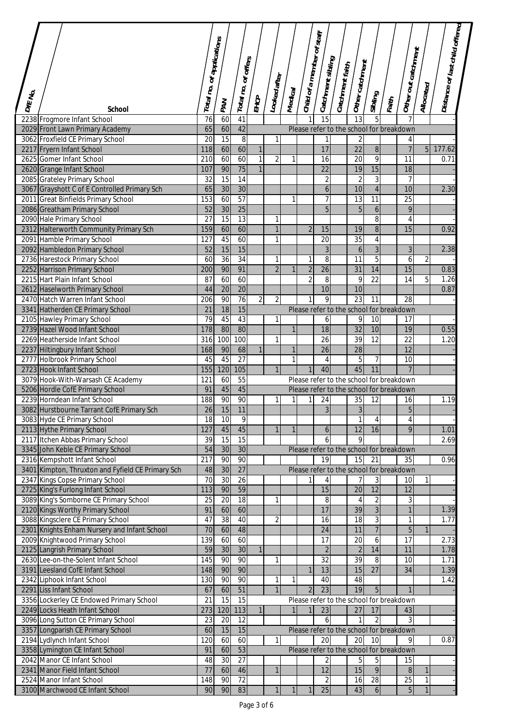|              |                                                                                   |                           |                 |                                    |                |                |              | Child of a member of staff |                     |                 |                                                            |                 |       |                                |                | Distance of last child offered |  |
|--------------|-----------------------------------------------------------------------------------|---------------------------|-----------------|------------------------------------|----------------|----------------|--------------|----------------------------|---------------------|-----------------|------------------------------------------------------------|-----------------|-------|--------------------------------|----------------|--------------------------------|--|
|              |                                                                                   | Total no. of applications |                 | Total no. of offers                |                |                |              |                            | . Catchment sibling | Catchment faith | Other catchment                                            |                 |       | Other out catchment            |                |                                |  |
| <b>DENO.</b> | <b>School</b>                                                                     |                           | <b>PAN</b>      |                                    | EHCP           | Looked after   | Medical      |                            |                     |                 |                                                            | Sibling         | Faith |                                | Allocated      |                                |  |
|              | 2238 Frogmore Infant School                                                       | 76                        | 60              | 41                                 |                |                |              |                            | 15                  |                 | 13                                                         | 5               |       |                                |                |                                |  |
|              | 2029 Front Lawn Primary Academy                                                   | 65                        | 60              | 42                                 |                |                |              |                            |                     |                 | Please refer to the school for breakdown                   |                 |       |                                |                |                                |  |
|              | 3062 Froxfield CE Primary School                                                  | 20                        | 15              | 8                                  |                | $\mathbf{1}$   |              |                            | 1                   |                 | $\sqrt{2}$                                                 |                 |       | 4                              |                |                                |  |
|              | 2217 Fryern Infant School                                                         | 118                       | 60              | 60                                 | $\mathbf{1}$   |                |              |                            | 17                  |                 | 22                                                         | $\overline{8}$  |       | $\overline{7}$                 | 5 <sub>1</sub> | 177.62                         |  |
|              | 2625 Gomer Infant School                                                          | 210                       | 60              | 60                                 | $\mathbf{1}$   | $\overline{2}$ | 1            |                            | 16                  |                 | $\overline{20}$                                            | $\overline{9}$  |       | 11                             |                | 0.71                           |  |
|              | 2620 Grange Infant School                                                         | 107                       | 90              | 75                                 | $\mathbf{1}$   |                |              |                            | $\overline{22}$     |                 | 19                                                         | 15              |       | 18                             |                |                                |  |
|              | 2085 Grateley Primary School                                                      | 32                        | $\overline{15}$ | 14                                 |                |                |              |                            | 2                   |                 | $\overline{2}$                                             | $\overline{3}$  |       | $\overline{7}$                 |                |                                |  |
|              | 3067 Grayshott C of E Controlled Primary Sch                                      | 65                        | 30              | 30                                 |                |                |              |                            | 6                   |                 | 10                                                         | $\sqrt{4}$      |       | 10                             |                | 2.30                           |  |
|              | 2011 Great Binfields Primary School                                               | 153<br>52                 | 60<br>30        | $\overline{57}$<br>$\overline{25}$ |                |                | 1            |                            | 7<br>5              |                 | 13                                                         | 11              |       | $\overline{25}$<br>$\mathsf q$ |                |                                |  |
|              | 2086 Greatham Primary School<br>2090 Hale Primary School                          | 27                        | $\overline{15}$ | $\overline{13}$                    |                |                |              |                            |                     |                 | 5                                                          | 6<br>8          |       | $\overline{4}$                 |                |                                |  |
|              | 2312 Halterworth Community Primary Sch                                            | 159                       | 60              | 60                                 |                |                |              | $\overline{2}$             | 15                  |                 | 19                                                         | $\overline{8}$  |       | 15                             |                | 0.92                           |  |
|              | 2091 Hamble Primary School                                                        | 127                       | 45              | 60                                 |                | 1              |              |                            | $\overline{20}$     |                 | $\overline{35}$                                            | 4               |       |                                |                |                                |  |
|              | 2092 Hambledon Primary School                                                     | 52                        | 15              | 15                                 |                |                |              |                            | 3                   |                 | 6                                                          | $\overline{3}$  |       | $\mathbf{3}$                   |                | 2.38                           |  |
|              | 2736 Harestock Primary School                                                     | 60                        | $\overline{36}$ | 34                                 |                |                |              | $\mathbf{1}$               | 8                   |                 | 11                                                         | 5               |       | 6                              | $\overline{2}$ |                                |  |
|              | 2252 Harrison Primary School                                                      | 200                       | 90              | 91                                 |                | $\overline{2}$ | 1            | $\sqrt{2}$                 | $\overline{26}$     |                 | $\overline{31}$                                            | 14              |       | $\overline{15}$                |                | 0.83                           |  |
|              | 2215 Hart Plain Infant School                                                     | 87                        | 60              | 60                                 |                |                |              | $\overline{2}$             | 8                   |                 | 9                                                          | $\overline{22}$ |       | 14                             | 5              | 1.26                           |  |
|              | 2612 Haselworth Primary School                                                    | 44                        | 20              | 20                                 |                |                |              |                            | 10                  |                 | 10                                                         |                 |       |                                |                | 0.87                           |  |
|              | 2470 Hatch Warren Infant School                                                   | 206                       | 90              | $\overline{76}$                    | $\overline{2}$ | $\overline{2}$ |              | $\mathbf{1}$               | 9                   |                 | $\overline{23}$                                            | 11              |       | $\overline{28}$                |                |                                |  |
|              | 3341 Hatherden CE Primary School                                                  | 21                        | $\overline{18}$ | 15                                 |                |                |              |                            |                     |                 | Please refer to the school for breakdown                   |                 |       |                                |                |                                |  |
|              | 2105 Hawley Primary School                                                        | $\overline{79}$           | 45              | 43                                 |                | 1              |              |                            | 6                   |                 | 9                                                          | 10              |       | 17                             |                |                                |  |
|              | 2739 Hazel Wood Infant School                                                     | 178                       | 80              | 80                                 |                |                | $\mathbf{1}$ |                            | 18                  |                 | $\overline{32}$                                            | 10              |       | 19                             |                | 0.55                           |  |
|              | 2269 Heatherside Infant School                                                    | 316                       | 100             | 100                                |                | 1              |              |                            | 26                  |                 | 39                                                         | 12              |       | $\overline{22}$                |                | 1.20                           |  |
|              | 2237 Hiltingbury Infant School                                                    | 168                       | 90              | 68                                 | $\mathbf{1}$   |                | $\mathbf{1}$ |                            | 26                  |                 | 28                                                         |                 |       | $\overline{12}$                |                |                                |  |
|              | 2777 Holbrook Primary School                                                      | 45                        | 45              | 27                                 |                |                | $\mathbf{1}$ |                            | 4                   |                 | 5                                                          | 7               |       | 10                             |                |                                |  |
|              | 2723 Hook Infant School                                                           | 155                       | 120             | 105                                |                |                |              |                            | 40                  |                 | 45                                                         | 11              |       |                                |                |                                |  |
|              | 3079 Hook-With-Warsash CE Academy                                                 | 121                       | 60              | 55                                 |                |                |              |                            |                     |                 | Please refer to the school for breakdown                   |                 |       |                                |                |                                |  |
|              | 5206 Hordle CofE Primary School                                                   | 91                        | 45              | 45                                 |                |                |              |                            |                     |                 | Please refer to the school for breakdown                   |                 |       |                                |                |                                |  |
|              | 2239 Horndean Infant School                                                       | 188                       | 90              | 90                                 |                |                | $\mathbf{1}$ | 1                          | 24                  |                 | 35                                                         | 12              |       | 16                             |                | 1.19                           |  |
|              | 3082 Hurstbourne Tarrant CofE Primary Sch                                         | $\overline{26}$           | 15              | 11                                 |                |                |              |                            | $\overline{3}$      |                 | $\mathbf{3}$                                               |                 |       | b                              |                |                                |  |
|              | 3083 Hyde CE Primary School                                                       | 18                        | 10              | 9                                  |                |                |              |                            |                     |                 | $\mathbf{1}$                                               | 4               |       | $\overline{4}$                 |                |                                |  |
|              | 2113 Hythe Primary School                                                         | 127                       | 45              | 45                                 |                |                | $\mathbf{1}$ |                            | 6                   |                 | $\overline{12}$                                            | 16              |       | 9                              |                | 1.01                           |  |
|              | 2117 Itchen Abbas Primary School                                                  | 39                        | 15              | 15                                 |                |                |              |                            | h                   |                 | 9                                                          |                 |       |                                |                | 2.69                           |  |
|              | 3345 John Keble CE Primary School                                                 | 54                        | 30              | 30                                 |                |                |              |                            |                     |                 | Please refer to the school for breakdown                   |                 |       |                                |                |                                |  |
|              | 2316 Kempshott Infant School<br>3401 Kimpton, Thruxton and Fyfield CE Primary Sch | 217<br>48                 | 90<br>30        | 90<br>$\overline{27}$              |                |                |              |                            | 19                  |                 | 15                                                         | 21              |       | 35                             |                | 0.96                           |  |
|              | 2347 Kings Copse Primary School                                                   | $\overline{70}$           | 30              | $\overline{26}$                    |                |                |              | $\mathbf{1}$               | 4                   |                 | Please refer to the school for breakdown<br>$\overline{7}$ | 3               |       | 10                             | 11             |                                |  |
|              | 2725 King's Furlong Infant School                                                 | 113                       | 90              | 59                                 |                |                |              |                            | 15                  |                 | 20                                                         | 12              |       | 12                             |                |                                |  |
|              | 3089 King's Somborne CE Primary School                                            | 25                        | 20              | 18                                 |                |                |              |                            | 8                   |                 | 4                                                          | $\overline{c}$  |       | 3                              |                |                                |  |
|              | 2120 Kings Worthy Primary School                                                  | 91                        | 60              | 60                                 |                |                |              |                            | 17                  |                 | 39                                                         | $\overline{3}$  |       | $\mathbf{1}$                   |                | 1.39                           |  |
|              | 3088 Kingsclere CE Primary School                                                 | 47                        | $\overline{38}$ | 40                                 |                | 2              |              |                            | 16                  |                 | 18                                                         | $\overline{3}$  |       | $\mathbf{1}$                   |                | 1.77                           |  |
|              | 2301 Knights Enham Nursery and Infant School                                      | 70                        | 60              | 48                                 |                |                |              |                            | 24                  |                 | 11                                                         | $\overline{7}$  |       | 5                              | 1              |                                |  |
|              | 2009 Knightwood Primary School                                                    | 139                       | 60              | 60                                 |                |                |              |                            | 17                  |                 | 20                                                         | 6               |       | 17                             |                | 2.73                           |  |
|              | 2125 Langrish Primary School                                                      | 59                        | 30              | 30                                 | $\mathbf{1}$   |                |              |                            | $\sqrt{2}$          |                 | $\sqrt{2}$                                                 | 14              |       | 11                             |                | 1.78                           |  |
|              | 2630 Lee-on-the-Solent Infant School                                              | 145                       | 90              | 90                                 |                |                |              |                            | 32                  |                 | 39                                                         | 8               |       | 10                             |                | 1.71                           |  |
|              | 3191 Leesland CofE Infant School                                                  | 148                       | 90              | 90                                 |                |                |              | $\mathbf{1}$               | 13                  |                 | 15                                                         | $\overline{27}$ |       | 34                             |                | 1.39                           |  |
|              | 2342 Liphook Infant School                                                        | 130                       | 90              | 90                                 |                |                | 1            |                            | 40                  |                 | 48                                                         |                 |       |                                |                | 1.42                           |  |
|              | 2291 Liss Infant School                                                           | 67                        | 60              | 51                                 |                |                |              | $\overline{2}$             | $\overline{23}$     |                 | 19                                                         | 5               |       | $\mathbf{1}$                   |                |                                |  |
|              | 3356 Lockerley CE Endowed Primary School                                          | 21                        | $\overline{15}$ | $\overline{15}$                    |                |                |              |                            |                     |                 | Please refer to the school for breakdown                   |                 |       |                                |                |                                |  |
|              | 2249 Locks Heath Infant School                                                    | 273                       | 120             | 113                                | $\mathbf{1}$   |                | $\mathbf{1}$ | $\mathbf{1}$               | 23                  |                 | 27                                                         | 17              |       | 43                             |                |                                |  |
|              | 3096 Long Sutton CE Primary School                                                | 23                        | 20              | 12                                 |                |                |              |                            | 6                   |                 | $\mathbf{1}$                                               | $\overline{2}$  |       | 3                              |                |                                |  |
|              | 3357 Longparish CE Primary School                                                 | 60                        | 15              | 15                                 |                |                |              |                            |                     |                 | Please refer to the school for breakdown                   |                 |       |                                |                |                                |  |
|              | 2194 Lydlynch Infant School                                                       | 120                       | 60              | 60                                 |                | $\mathbf{1}$   |              |                            | 20                  |                 | 20                                                         | 10              |       | 9                              |                | 0.87                           |  |
|              | 3358 Lymington CE Infant School                                                   | 91                        | 60              | 53                                 |                |                |              |                            |                     |                 | Please refer to the school for breakdown                   |                 |       |                                |                |                                |  |
|              | 2042 Manor CE Infant School                                                       | 48                        | 30              | 27                                 |                |                |              |                            |                     |                 | 5                                                          | 5               |       | 15                             |                |                                |  |
|              | 2341 Manor Field Infant School                                                    | 77                        | 60              | 46                                 |                | $\mathbf{1}$   |              |                            | $\overline{12}$     |                 | 15                                                         | 9               |       | $\, 8$                         | $\mathbf{1}$   |                                |  |
|              | 2524 Manor Infant School                                                          | 148                       | 90              | 72                                 |                |                |              |                            | 2                   |                 | 16                                                         | 28              |       | 25                             | $\mathbf{1}$   |                                |  |
|              | 3100 Marchwood CE Infant School                                                   | 90                        | 90              | 83                                 |                | $\mathbf{1}$   | 1            | 1                          | 25                  |                 | 43                                                         | $\overline{6}$  |       | $5\phantom{.}$                 | $\mathbf{1}$   |                                |  |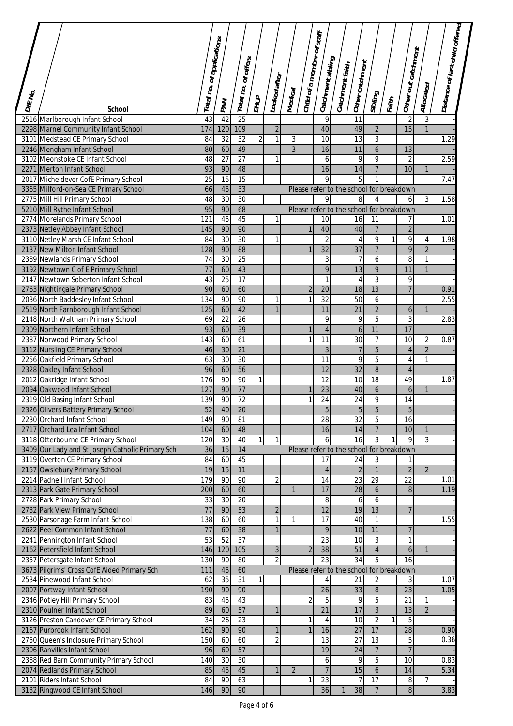|                        |                                                                  | Total no. of applications |                 | Total no. of offers |                | Looked after        |                | Child of a member of staff. | Catchment sibling     | Catchment faith | Other catchment                          |                                  |       | Other out catchment                | Allocated      | Distance of last child offered |  |
|------------------------|------------------------------------------------------------------|---------------------------|-----------------|---------------------|----------------|---------------------|----------------|-----------------------------|-----------------------|-----------------|------------------------------------------|----------------------------------|-------|------------------------------------|----------------|--------------------------------|--|
| $b_{\ell\ell}$ $\mu_0$ |                                                                  |                           | <b>PAN</b>      |                     | EHCP           |                     | Medical        |                             |                       |                 |                                          | Sibling                          | Faith |                                    |                |                                |  |
|                        | <b>School</b>                                                    |                           |                 |                     |                |                     |                |                             |                       |                 |                                          |                                  |       |                                    |                |                                |  |
|                        | 2516 Marlborough Infant School                                   | $\overline{43}$           | 42              | 25<br>109           |                |                     |                |                             | 9                     |                 | $\overline{11}$                          |                                  |       | $\overline{2}$<br>15               | 3              |                                |  |
|                        | 2298 Marnel Community Infant School                              | 174<br>84                 | 120<br>32       | $\overline{32}$     | $\overline{2}$ | $\overline{2}$<br>1 | 3              |                             | 40<br>$\overline{10}$ |                 | 49<br>13                                 | $\overline{2}$<br>$\overline{3}$ |       |                                    |                | 1.29                           |  |
|                        | 3101 Medstead CE Primary School<br>2246 Mengham Infant School    | 80                        | 60              | 49                  |                |                     | $\overline{3}$ |                             | 16                    |                 | 11                                       | $\overline{6}$                   |       | 13                                 |                |                                |  |
|                        | 3102 Meonstoke CE Infant School                                  | 48                        | $\overline{27}$ | $\overline{27}$     |                | 1                   |                |                             | 6                     |                 | 9                                        | $\overline{9}$                   |       | $\overline{2}$                     |                | 2.59                           |  |
|                        | 2271 Merton Infant School                                        | 93                        | 90              | 48                  |                |                     |                |                             | 16                    |                 | 14                                       | $\overline{7}$                   |       | 10                                 | $\mathbf{1}$   |                                |  |
|                        | 2017 Micheldever CofE Primary School                             | 25                        | 15              | $\overline{15}$     |                |                     |                |                             | 9                     |                 | 5                                        | 1                                |       |                                    |                | 7.47                           |  |
|                        | 3365 Milford-on-Sea CE Primary School                            | 66                        | 45              | 33                  |                |                     |                |                             |                       |                 | Please refer to the school for breakdown |                                  |       |                                    |                |                                |  |
|                        | 2775 Mill Hill Primary School                                    | 48                        | 30              | 30                  |                |                     |                |                             | 9                     |                 | 8                                        | 4                                |       | 6                                  | $\overline{3}$ | 1.58                           |  |
|                        | 5210 Mill Rythe Infant School                                    | 95                        | 90              | 68                  |                |                     |                |                             |                       |                 | Please refer to the school for breakdown |                                  |       |                                    |                |                                |  |
|                        | 2774 Morelands Primary School                                    | 121                       | 45              | 45                  |                |                     |                |                             | 10                    |                 | 16                                       | 11                               |       | 7                                  |                | 1.01                           |  |
|                        | 2373 Netley Abbey Infant School                                  | 145                       | 90              | 90                  |                |                     |                | $\mathbf{1}$                | 40                    |                 | 40                                       | $\overline{7}$                   |       | $\overline{2}$                     |                |                                |  |
|                        | 3110 Netley Marsh CE Infant School                               | 84                        | $\overline{30}$ | $\overline{30}$     |                | 1                   |                |                             | $\overline{2}$        |                 | 4                                        | 9                                | 1     | 9                                  | $\overline{4}$ | 1.98                           |  |
|                        | 2137 New Milton Infant School                                    | 128                       | 90              | 88                  |                |                     |                |                             | $\overline{32}$       |                 | $\overline{37}$                          | $\overline{7}$                   |       | 9                                  | $\overline{2}$ |                                |  |
|                        | 2389 Newlands Primary School                                     | 74                        | 30              | $\overline{25}$     |                |                     |                |                             | 3                     |                 | $\overline{7}$                           | 6                                |       | 8                                  | $\mathbf{1}$   |                                |  |
|                        | 3192 Newtown C of E Primary School                               | 77                        | 60              | 43                  |                |                     |                |                             | $\overline{9}$        |                 | 13                                       | $\overline{9}$                   |       | 11                                 | $\mathbf{1}$   |                                |  |
|                        | 2147 Newtown Soberton Infant School                              | 43                        | $\overline{25}$ | $\overline{17}$     |                |                     |                |                             | 1                     |                 | 4                                        | $\overline{3}$                   |       | 9                                  |                |                                |  |
|                        | 2763 Nightingale Primary School                                  | 90                        | 60              | 60                  |                |                     |                | $\overline{2}$              | 20                    |                 | 18                                       | $\overline{13}$                  |       | $\overline{7}$                     |                | 0.91                           |  |
|                        | 2036 North Baddesley Infant School                               | 134                       | 90              | 90<br>42            |                | 1<br>$\mathbf{1}$   |                | $\mathbf{1}$                | $\overline{32}$<br>11 |                 | 50                                       | 6                                |       |                                    |                | 2.55                           |  |
|                        | 2519 North Farnborough Infant School                             | 125                       | 60<br>22        | 26                  |                |                     |                |                             | 9                     |                 | $\overline{21}$                          | $\overline{2}$<br>$\overline{5}$ |       | $\boldsymbol{6}$<br>$\mathfrak{Z}$ | $\mathbf{1}$   |                                |  |
|                        | 2148 North Waltham Primary School<br>2309 Northern Infant School | 69<br>93                  | 60              | 39                  |                |                     |                | $\mathbf{1}$                | $\overline{4}$        |                 | 9<br>$\boldsymbol{6}$                    | 11                               |       | 17                                 |                | 2.83                           |  |
|                        | 2387 Norwood Primary School                                      | 143                       | 60              | 61                  |                |                     |                | 1                           | 11                    |                 | 30                                       | $\overline{7}$                   |       | $\overline{10}$                    | $\overline{2}$ | 0.87                           |  |
|                        | 3112 Nursling CE Primary School                                  | 46                        | 30              | 21                  |                |                     |                |                             | 3                     |                 | $\overline{7}$                           | $\overline{5}$                   |       | $\overline{4}$                     | $\overline{2}$ |                                |  |
|                        | 2256 Oakfield Primary School                                     | 63                        | 30              | 30                  |                |                     |                |                             | 11                    |                 | 9                                        | $\overline{5}$                   |       | 4                                  | $\mathbf{1}$   |                                |  |
|                        | 2328 Oakley Infant School                                        | 96                        | 60              | 56                  |                |                     |                |                             | 12                    |                 | $\overline{32}$                          | $\overline{\bf 8}$               |       | $\overline{4}$                     |                |                                |  |
|                        | 2012 Oakridge Infant School                                      | 176                       | 90              | 90                  | 1              |                     |                |                             | 12                    |                 | 10                                       | $\overline{18}$                  |       | 49                                 |                | 1.87                           |  |
|                        | 2094 Oakwood Infant School                                       | 127                       | 90              | $\overline{77}$     |                |                     |                | $\mathbf{1}$                | $\overline{23}$       |                 | 40                                       | $\boldsymbol{6}$                 |       | $\boldsymbol{6}$                   | $\mathbf{1}$   |                                |  |
|                        | 2319 Old Basing Infant School                                    | 139                       | 90              | $\overline{72}$     |                |                     |                | $\mathbf{1}$                | 24                    |                 | 24                                       | 9                                |       | 14                                 |                |                                |  |
|                        | 2326 Olivers Battery Primary School                              | $\overline{52}$           | 40              | 20                  |                |                     |                |                             | 5                     |                 | $\mathcal{D}$                            | $\sigma$                         |       | 5                                  |                |                                |  |
|                        | 2230 Orchard Infant School                                       | 149                       | 90              | 81                  |                |                     |                |                             | $\overline{28}$       |                 | $\overline{32}$                          | 5                                |       | $\overline{16}$                    |                |                                |  |
|                        | 2717 Orchard Lea Infant School                                   | 104                       | 60              | 48                  |                |                     |                |                             | 16                    |                 | 14                                       | $\overline{7}$                   |       | 10                                 | $\mathbf{1}$   |                                |  |
|                        | 3118 Otterbourne CE Primary School                               | 120                       | 30              | 40                  | 1              | 1                   |                |                             | 6                     |                 | 16                                       | 3                                |       | 9                                  | $\overline{3}$ |                                |  |
|                        | 3409 Our Lady and St Joseph Catholic Primary Sch                 | 36                        | 15              | 14                  |                |                     |                |                             |                       |                 | Please refer to the school for breakdown |                                  |       |                                    |                |                                |  |
|                        | 3119 Overton CE Primary School                                   | 84                        | 60              | 45                  |                |                     |                |                             | 17                    |                 | 24                                       | 3                                |       | 1                                  |                |                                |  |
|                        | 2157 Owslebury Primary School                                    | 19                        | 15              | 11                  |                |                     |                |                             | $\overline{4}$        |                 | $\overline{2}$                           | $\overline{1}$                   |       | $\overline{2}$                     | $\overline{2}$ |                                |  |
|                        | 2214 Padnell Infant School                                       | 179<br>200                | 90<br>60        | 90<br>60            |                | 2                   | 1              |                             | 14<br>17              |                 | $\overline{23}$<br>28                    | $\overline{29}$<br>6             |       | 22<br>$\,8\,$                      |                | 1.01<br>1.19                   |  |
|                        | 2313 Park Gate Primary School<br>2728 Park Primary School        | 33                        | $\overline{30}$ | $\overline{20}$     |                |                     |                |                             | 8                     |                 | 6                                        | 6                                |       |                                    |                |                                |  |
|                        | 2732 Park View Primary School                                    | 77                        | 90              | 53                  |                | $\overline{2}$      |                |                             | 12                    |                 | 19                                       | 13                               |       | 7                                  |                |                                |  |
|                        | 2530 Parsonage Farm Infant School                                | 138                       | 60              | 60                  |                | 1                   | 1              |                             | 17                    |                 | 40                                       | 1                                |       |                                    |                | 1.55                           |  |
|                        | 2622 Peel Common Infant School                                   | 77                        | 60              | 38                  |                |                     |                |                             | 9                     |                 | 10                                       | 11                               |       | $\overline{7}$                     |                |                                |  |
|                        | 2241 Pennington Infant School                                    | 53                        | 52              | 37                  |                |                     |                |                             | 23                    |                 | 10                                       | 3                                |       | $\mathbf{1}$                       |                |                                |  |
|                        | 2162 Petersfield Infant School                                   | 146                       | 120             | 105                 |                | 3                   |                | $\overline{2}$              | 38                    |                 | 51                                       | $\overline{4}$                   |       | $\boldsymbol{6}$                   | $\mathbf{1}$   |                                |  |
|                        | 2357 Petersgate Infant School                                    | 130                       | 90              | 80                  |                | 2                   |                |                             | 23                    |                 | 34                                       | 5                                |       | 16                                 |                |                                |  |
|                        | 3673 Pilgrims' Cross CofE Aided Primary Sch                      | 111                       | 45              | 60                  |                |                     |                |                             |                       |                 | Please refer to the school for breakdown |                                  |       |                                    |                |                                |  |
|                        | 2534 Pinewood Infant School                                      | 62                        | 35              | $\overline{31}$     | 1              |                     |                |                             |                       |                 | 21                                       | 2                                |       | 3                                  |                | 1.07                           |  |
|                        | 2007 Portway Infant School                                       | 190                       | 90              | 90                  |                |                     |                |                             | $\overline{26}$       |                 | 33                                       | $\overline{8}$                   |       | 23                                 |                | 1.05                           |  |
|                        | 2346 Potley Hill Primary School                                  | 83                        | 45              | 43                  |                |                     |                | $\overline{2}$              | 5                     |                 | 9                                        | $\overline{5}$                   |       | $\overline{21}$                    | $\mathbf{1}$   |                                |  |
|                        | 2310 Poulner Infant School                                       | 89                        | 60              | 57                  |                | 1                   |                |                             | $\overline{21}$       |                 | 17                                       | $\overline{3}$                   |       | 13                                 | $\overline{2}$ |                                |  |
|                        | 3126 Preston Candover CE Primary School                          | 34                        | 26              | 23                  |                |                     |                | $\mathbf{1}$                | 4                     |                 | 10                                       | $\overline{2}$                   |       | 5                                  |                |                                |  |
|                        | 2167 Purbrook Infant School                                      | 162                       | 90              | 90                  |                | $\mathbf{1}$        |                | $\mathbf{1}$                | 16                    |                 | $\overline{27}$                          | 17                               |       | $\overline{28}$                    |                | 0.90                           |  |
|                        | 2750 Queen's Inclosure Primary School                            | 150                       | 60              | 60                  |                | 2                   |                |                             | 13                    |                 | 27                                       | $\overline{13}$                  |       | 5                                  |                | 0.36                           |  |
|                        | 2306 Ranvilles Infant School                                     | 96                        | 60              | 57                  |                |                     |                |                             | 19                    |                 | 24                                       | 7                                |       | $\overline{7}$                     |                |                                |  |
|                        | 2388 Red Barn Community Primary School                           | 140                       | $\overline{30}$ | $\overline{30}$     |                | 1                   |                |                             | 6<br>$\overline{7}$   |                 | 9                                        | 5                                |       | 10                                 |                | 0.83<br>5.34                   |  |
|                        | 2074 Redlands Primary School<br>2101 Riders Infant School        | 85                        | 45<br>90        | 45                  |                |                     | $\overline{2}$ |                             |                       |                 | 15                                       | $\mathbf 6$                      |       | 14                                 |                |                                |  |
|                        | 3132 Ringwood CE Infant School                                   | 84                        | 90              | 63<br>90            |                |                     |                | 1                           | 23<br>36              |                 | $\overline{7}$<br>38                     | 17<br>$\overline{7}$             |       | 8<br>$\bf{8}$                      | 7              | 3.83                           |  |
|                        |                                                                  | 146                       |                 |                     |                |                     |                |                             |                       |                 |                                          |                                  |       |                                    |                |                                |  |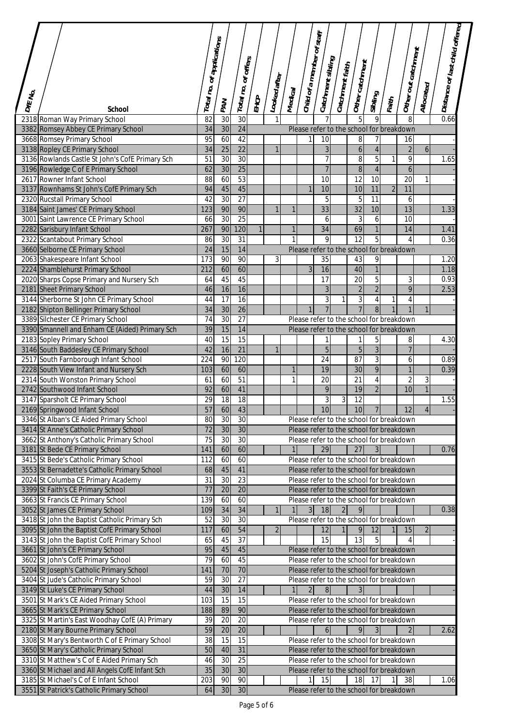|              |                                                                                |                           |                 |                     |              |                |                |                            |                      |                          |                                                                                      |                                  |                |                              |                  | Distance of last child offered |  |
|--------------|--------------------------------------------------------------------------------|---------------------------|-----------------|---------------------|--------------|----------------|----------------|----------------------------|----------------------|--------------------------|--------------------------------------------------------------------------------------|----------------------------------|----------------|------------------------------|------------------|--------------------------------|--|
|              |                                                                                | Total no. of applications |                 | Total no. of offers |              |                |                | Child of a member of staff | Catchment sibling    | $\left $ Catchment faith | $ $ Other catchment                                                                  |                                  |                | Other out catchment          |                  |                                |  |
| $D\pi_{N_O}$ | <b>School</b>                                                                  |                           | PAN             |                     | EHCP         | Looked after   | Medical        |                            |                      |                          |                                                                                      | Sibling                          | Faith          |                              | Allocated        |                                |  |
|              | 2318 Roman Way Primary School                                                  | 82                        | 30              | 30                  |              |                |                |                            |                      |                          |                                                                                      | 9                                |                | 8                            |                  | 0.66                           |  |
|              | 3382 Romsey Abbey CE Primary School                                            | 34                        | 30              | 24                  |              |                |                |                            |                      |                          | Please refer to the school for breakdown                                             |                                  |                |                              |                  |                                |  |
|              | 3668 Romsey Primary School                                                     | 95                        | 60              | 42                  |              |                |                | $\mathbf{1}$               | 10                   |                          | $\, 8$                                                                               | 7                                |                | 16                           |                  |                                |  |
|              | 3138 Ropley CE Primary School                                                  | 34                        | 25              | $\overline{22}$     |              | $\mathbf{1}$   |                |                            | $\overline{3}$       |                          | 6                                                                                    | $\overline{4}$                   |                | $\overline{2}$               | $\boldsymbol{6}$ |                                |  |
|              | 3136 Rowlands Castle St John's CofE Primary Sch                                | $\overline{51}$           | 30              | 30                  |              |                |                |                            | 7                    |                          | $\, 8$                                                                               | 5                                | $\mathbf{1}$   | $\overline{9}$               |                  | 1.65                           |  |
|              | 3196 Rowledge C of E Primary School                                            | 62                        | 30              | 25                  |              |                |                |                            | 7                    |                          | 8                                                                                    | $\overline{4}$                   |                | $\boldsymbol{6}$             |                  |                                |  |
|              | 2617 Rowner Infant School                                                      | $\overline{88}$           | 60              | 53                  |              |                |                |                            | 10                   |                          | $\overline{12}$                                                                      | 10                               |                | $\overline{20}$              | $\mathbf{1}$     |                                |  |
|              | 3137 Rownhams St John's CofE Primary Sch                                       | 94                        | 45              | 45                  |              |                |                | $\mathbf{1}$               | 10                   |                          | 10                                                                                   | 11                               | $\overline{2}$ | 11                           |                  |                                |  |
|              | 2320 Rucstall Primary School                                                   | 42                        | 30              | 27                  |              |                |                |                            | 5                    |                          | 5                                                                                    | 11                               |                | 6                            |                  |                                |  |
|              | 3184 Saint James' CE Primary School                                            | 123                       | 90              | 90                  |              |                | 1              |                            | 33                   |                          | 32                                                                                   | 10                               |                | 13                           |                  | 1.33                           |  |
|              | 3001 Saint Lawrence CE Primary School                                          | 66                        | $\overline{30}$ | $\overline{25}$     |              |                |                |                            | 6                    |                          | 3                                                                                    | 6                                |                | $\overline{10}$              |                  |                                |  |
|              | 2282 Sarisbury Infant School                                                   | 267                       | 90              | 120                 | $\mathbf{1}$ |                | $\mathbf{1}$   |                            | $\overline{34}$      |                          | 69                                                                                   | $\mathbf{1}$                     |                | 14                           |                  | 1.41                           |  |
|              | 2322 Scantabout Primary School                                                 | 86                        | 30              | 31                  |              |                | 1              |                            | 9                    |                          | 12                                                                                   | 5                                |                | $\overline{4}$               |                  | 0.36                           |  |
|              | 3660 Selborne CE Primary School                                                | 24                        | 15              | 14                  |              |                |                |                            |                      |                          | Please refer to the school for breakdown                                             |                                  |                |                              |                  |                                |  |
|              | 2063 Shakespeare Infant School                                                 | 173                       | 90              | 90                  |              | $\overline{3}$ |                |                            | 35                   |                          | 43                                                                                   | 9                                |                |                              |                  | 1.20                           |  |
|              | 2224 Shamblehurst Primary School                                               | 212                       | 60              | 60                  |              |                |                | $\overline{3}$             | 16                   |                          | 40                                                                                   | $\overline{1}$                   |                |                              |                  | 1.18                           |  |
|              | 2020 Sharps Copse Primary and Nursery Sch                                      | 64<br>46                  | 45<br>16        | 45<br>16            |              |                |                |                            | 17<br>$\overline{3}$ |                          | 20                                                                                   | $\overline{5}$<br>$\overline{2}$ |                | $\sqrt{3}$<br>$\overline{9}$ |                  | 0.93<br>2.53                   |  |
|              | 2181 Sheet Primary School<br>3144 Sherborne St John CE Primary School          | 44                        | 17              | $\overline{16}$     |              |                |                |                            | 3                    | $\mathbf{1}$             | $\sqrt{2}$<br>$\mathfrak{Z}$                                                         | 4                                |                | 4                            |                  |                                |  |
|              | 2182 Shipton Bellinger Primary School                                          | $\overline{34}$           | 30              | $\overline{26}$     |              |                |                | $\mathbf{1}$               | $\overline{7}$       |                          | $\overline{7}$                                                                       | $\infty$                         |                | $\mathbf{1}$                 | $\mathbf{1}$     |                                |  |
|              | 3389 Silchester CE Primary School                                              | 74                        | $\overline{30}$ | 27                  |              |                |                |                            |                      |                          | Please refer to the school for breakdown                                             |                                  |                |                              |                  |                                |  |
|              | 3390 Smannell and Enham CE (Aided) Primary Sch                                 | 39                        | 15              | 14                  |              |                |                |                            |                      |                          | Please refer to the school for breakdown                                             |                                  |                |                              |                  |                                |  |
|              | 2183 Sopley Primary School                                                     | 40                        | $\overline{15}$ | $\overline{15}$     |              |                |                |                            | 1                    |                          | 1                                                                                    | 5                                |                | 8                            |                  | 4.30                           |  |
|              | 3146 South Baddesley CE Primary School                                         | 42                        | 16              | $\overline{21}$     |              |                |                |                            | $\overline{5}$       |                          | $\overline{5}$                                                                       | $\overline{3}$                   |                | $\overline{7}$               |                  |                                |  |
|              | 2517 South Farnborough Infant School                                           | 224                       | 90              | 120                 |              |                |                |                            | 24                   |                          | 87                                                                                   | 3                                |                | 6                            |                  | 0.89                           |  |
|              | 2228 South View Infant and Nursery Sch                                         | 103                       | 60              | 60                  |              |                | 1              |                            | 19                   |                          | 30                                                                                   | 9                                |                | $\overline{1}$               |                  | 0.39                           |  |
|              | 2314 South Wonston Primary School                                              | 61                        | 60              | $\overline{51}$     |              |                | 1              |                            | 20                   |                          | 21                                                                                   | 4                                |                | $\overline{2}$               | 3                |                                |  |
|              | 2742 Southwood Infant School                                                   | 92                        | 60              | 41                  |              |                |                |                            | 9                    |                          | 19                                                                                   | $\overline{2}$                   |                | 10                           | $\mathbf{1}$     |                                |  |
|              | 3147 Sparsholt CE Primary School                                               | 29                        | 18              | 18                  |              |                |                |                            | 3                    | 3                        | 12                                                                                   |                                  |                |                              |                  | 1.55                           |  |
|              | 2169 Springwood Infant School                                                  | 57                        | 60              | 43                  |              |                |                |                            | 10                   |                          | 10 <sub>l</sub>                                                                      | $\overline{7}$                   |                | 12                           | 4 <sub>1</sub>   |                                |  |
|              | 3346 St Alban's CE Aided Primary School                                        | 80                        | 30              | 30                  |              |                |                |                            |                      |                          | Please refer to the school for breakdown                                             |                                  |                |                              |                  |                                |  |
|              | 3414 St Anne's Catholic Primary School                                         | 72                        | 30              | 30                  |              |                |                |                            |                      |                          | Please refer to the school for breakdown                                             |                                  |                |                              |                  |                                |  |
|              | 3662 St Anthony's Catholic Primary School                                      | 75                        | 30              | 30                  |              |                |                |                            |                      |                          | Please refer to the school for breakdown                                             |                                  |                |                              |                  |                                |  |
|              | 3181 St Bede CE Primary School                                                 | 141                       | 60              | 60                  |              |                | 1              |                            | 29                   |                          | 27                                                                                   | 3 <sup>1</sup>                   |                |                              |                  | 0.76                           |  |
|              | 3415 St Bede's Catholic Primary School                                         | 112                       | 60              | 60                  |              |                |                |                            |                      |                          | Please refer to the school for breakdown                                             |                                  |                |                              |                  |                                |  |
|              | 3553 St Bernadette's Catholic Primary School                                   | 68                        | 45              | 41                  |              |                |                |                            |                      |                          | Please refer to the school for breakdown                                             |                                  |                |                              |                  |                                |  |
|              | 2024 St Columba CE Primary Academy                                             | 31                        | 30              | 23                  |              |                |                |                            |                      |                          | Please refer to the school for breakdown                                             |                                  |                |                              |                  |                                |  |
|              | 3399 St Faith's CE Primary School                                              | 77                        | 20              | 20                  |              |                |                |                            |                      |                          | Please refer to the school for breakdown                                             |                                  |                |                              |                  |                                |  |
|              | 3663 St Francis CE Primary School                                              | 139                       | 60              | 60                  |              |                |                |                            |                      |                          | Please refer to the school for breakdown                                             |                                  |                |                              |                  |                                |  |
|              | 3052 St James CE Primary School                                                | 109                       | 34              | 34                  |              | 1 <sup>1</sup> | 11             |                            | $3$ 18               | 2                        | 9 <sub>l</sub>                                                                       |                                  |                |                              |                  | 0.38                           |  |
|              | 3418 St John the Baptist Catholic Primary Sch                                  | 52                        | 30              | 30                  |              |                |                |                            |                      |                          | Please refer to the school for breakdown                                             |                                  |                |                              |                  |                                |  |
|              | 3095 St John the Baptist CofE Primary School                                   | 117                       | 60              | 54                  |              | $\overline{2}$ |                |                            | 12                   | $\mathbf{1}$             | 9                                                                                    | 12                               |                | 15                           | $\overline{2}$   |                                |  |
|              | 3143 St John the Baptist CofE Primary School                                   | 65<br>95                  | 45<br>45        | 37<br>45            |              |                |                |                            | 15                   |                          | 13                                                                                   | 5                                |                |                              |                  |                                |  |
|              | 3661 St John's CE Primary School                                               | 79                        | 60              | 45                  |              |                |                |                            |                      |                          | Please refer to the school for breakdown<br>Please refer to the school for breakdown |                                  |                |                              |                  |                                |  |
|              | 3602 St John's CofE Primary School<br>5204 St Joseph's Catholic Primary School | 141                       | 70              | 70                  |              |                |                |                            |                      |                          | Please refer to the school for breakdown                                             |                                  |                |                              |                  |                                |  |
|              | 3404 St Jude's Catholic Primary School                                         | 59                        | $\overline{30}$ | 27                  |              |                |                |                            |                      |                          | Please refer to the school for breakdown                                             |                                  |                |                              |                  |                                |  |
|              | 3149 St Luke's CE Primary School                                               | 44                        | 30              | 14                  |              |                | 1 <sup>1</sup> | $\overline{2}$             | 8                    |                          | $\overline{3}$                                                                       |                                  |                |                              |                  |                                |  |
|              | 3501 St Mark's CE Aided Primary School                                         | 103                       | 15              | 15                  |              |                |                |                            |                      |                          | Please refer to the school for breakdown                                             |                                  |                |                              |                  |                                |  |
|              | 3665 St Mark's CE Primary School                                               | 188                       | 89              | 90                  |              |                |                |                            |                      |                          | Please refer to the school for breakdown                                             |                                  |                |                              |                  |                                |  |
|              | 3325 St Martin's East Woodhay CofE (A) Primary                                 | 39                        | 20              | $\overline{20}$     |              |                |                |                            |                      |                          | Please refer to the school for breakdown                                             |                                  |                |                              |                  |                                |  |
|              | 2180 St Mary Bourne Primary School                                             | 59                        | 20              | $\overline{20}$     |              |                |                |                            | 6                    |                          | $\overline{9}$                                                                       | 3 <sup>l</sup>                   |                | $\overline{2}$               |                  | 2.62                           |  |
|              | 3308 St Mary's Bentworth C of E Primary School                                 | 38                        | 15              | 15                  |              |                |                |                            |                      |                          | Please refer to the school for breakdown                                             |                                  |                |                              |                  |                                |  |
|              | 3650 St Mary's Catholic Primary School                                         | 50                        | 40              | 31                  |              |                |                |                            |                      |                          | Please refer to the school for breakdown                                             |                                  |                |                              |                  |                                |  |
|              | 3310 St Matthew's C of E Aided Primary Sch                                     | 46                        | 30              | 25                  |              |                |                |                            |                      |                          | Please refer to the school for breakdown                                             |                                  |                |                              |                  |                                |  |
|              | 3360 St Michael and All Angels CofE Infant Sch                                 | 35                        | 30              | 30                  |              |                |                |                            |                      |                          | Please refer to the school for breakdown                                             |                                  |                |                              |                  |                                |  |
|              | 3185 St Michael's C of E Infant School                                         | 203                       | 90              | 90                  |              |                |                | $\mathbf{1}$               | 15                   |                          | 18                                                                                   | 17                               |                | 38                           |                  | 1.06                           |  |
|              | 3551 St Patrick's Catholic Primary School                                      | 64                        | 30              | 30                  |              |                |                |                            |                      |                          | Please refer to the school for breakdown                                             |                                  |                |                              |                  |                                |  |